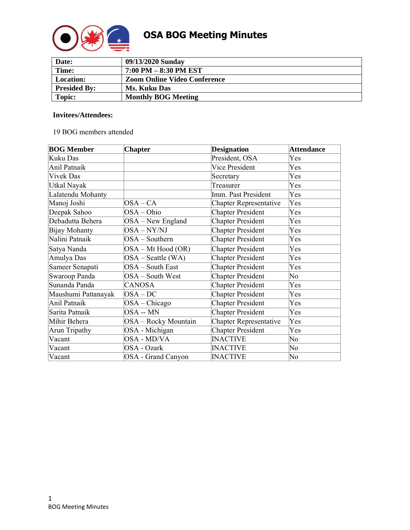

| Date:               | 09/13/2020 Sunday                   |
|---------------------|-------------------------------------|
| Time:               | 7:00 PM – 8:30 PM EST               |
| Location:           | <b>Zoom Online Video Conference</b> |
| <b>Presided By:</b> | Ms. Kuku Das                        |
| Topic:              | <b>Monthly BOG Meeting</b>          |

#### **Invitees/Attendees:**

#### 19 BOG members attended

| <b>BOG Member</b>    | <b>Chapter</b>       | <b>Designation</b>            | <b>Attendance</b> |
|----------------------|----------------------|-------------------------------|-------------------|
| Kuku Das             |                      | President, OSA                | Yes               |
| Anil Patnaik         |                      | <b>Vice President</b>         | Yes               |
| <b>Vivek Das</b>     |                      | Secretary                     | Yes               |
| Utkal Nayak          |                      | Treasurer                     | Yes               |
| Lalatendu Mohanty    |                      | Imm. Past President           | Yes               |
| Manoj Joshi          | $OSA - CA$           | <b>Chapter Representative</b> | Yes               |
| Deepak Sahoo         | OSA – Ohio           | <b>Chapter President</b>      | Yes               |
| Debadutta Behera     | $OSA - New England$  | <b>Chapter President</b>      | Yes               |
| Bijay Mohanty        | $OSA - NY/NJ$        | <b>Chapter President</b>      | Yes               |
| Nalini Patnaik       | OSA - Southern       | <b>Chapter President</b>      | Yes               |
| Satya Nanda          | OSA – Mt Hood (OR)   | <b>Chapter President</b>      | Yes               |
| Amulya Das           | $OSA - Seattle (WA)$ | <b>Chapter President</b>      | Yes               |
| Sameer Senapati      | OSA - South East     | <b>Chapter President</b>      | Yes               |
| Swaroop Panda        | $OSA - South West$   | <b>Chapter President</b>      | N <sub>0</sub>    |
| Sunanda Panda        | <b>CANOSA</b>        | <b>Chapter President</b>      | Yes               |
| Maushumi Pattanayak  | $OSA-DC$             | <b>Chapter President</b>      | Yes               |
| Anil Patnaik         | $OSA - Chicago$      | <b>Chapter President</b>      | Yes               |
| Sarita Patnaik       | OSA -- MN            | <b>Chapter President</b>      | Yes               |
| Mihir Behera         | OSA - Rocky Mountain | <b>Chapter Representative</b> | Yes               |
| <b>Arun Tripathy</b> | OSA - Michigan       | <b>Chapter President</b>      | Yes               |
| Vacant               | OSA - MD/VA          | <b>INACTIVE</b>               | No                |
| Vacant               | OSA - Ozark          | <b>INACTIVE</b>               | No                |
| Vacant               | OSA - Grand Canyon   | <b>INACTIVE</b>               | No                |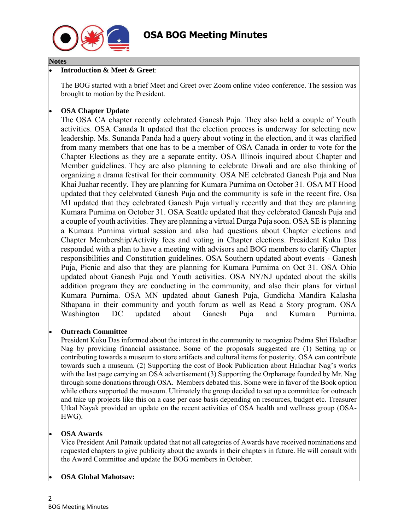

#### **Notes**

## • **Introduction & Meet & Greet**:

The BOG started with a brief Meet and Greet over Zoom online video conference. The session was brought to motion by the President.

# • **OSA Chapter Update**

The OSA CA chapter recently celebrated Ganesh Puja. They also held a couple of Youth activities. OSA Canada It updated that the election process is underway for selecting new leadership. Ms. Sunanda Panda had a query about voting in the election, and it was clarified from many members that one has to be a member of OSA Canada in order to vote for the Chapter Elections as they are a separate entity. OSA Illinois inquired about Chapter and Member guidelines. They are also planning to celebrate Diwali and are also thinking of organizing a drama festival for their community. OSA NE celebrated Ganesh Puja and Nua Khai Juahar recently. They are planning for Kumara Purnima on October 31. OSA MT Hood updated that they celebrated Ganesh Puja and the community is safe in the recent fire. Osa MI updated that they celebrated Ganesh Puja virtually recently and that they are planning Kumara Purnima on October 31. OSA Seattle updated that they celebrated Ganesh Puja and a couple of youth activities. They are planning a virtual Durga Puja soon. OSA SE is planning a Kumara Purnima virtual session and also had questions about Chapter elections and Chapter Membership/Activity fees and voting in Chapter elections. President Kuku Das responded with a plan to have a meeting with advisors and BOG members to clarify Chapter responsibilities and Constitution guidelines. OSA Southern updated about events - Ganesh Puja, Picnic and also that they are planning for Kumara Purnima on Oct 31. OSA Ohio updated about Ganesh Puja and Youth activities. OSA NY/NJ updated about the skills addition program they are conducting in the community, and also their plans for virtual Kumara Purnima. OSA MN updated about Ganesh Puja, Gundicha Mandira Kalasha Sthapana in their community and youth forum as well as Read a Story program. OSA Washington DC updated about Ganesh Puja and Kumara Purnima.

## • **Outreach Committee**

President Kuku Das informed about the interest in the community to recognize Padma Shri Haladhar Nag by providing financial assistance. Some of the proposals suggested are (1) Setting up or contributing towards a museum to store artifacts and cultural items for posterity. OSA can contribute towards such a museum. (2) Supporting the cost of Book Publication about Haladhar Nag's works with the last page carrying an OSA advertisement (3) Supporting the Orphanage founded by Mr. Nag through some donations through OSA. Members debated this. Some were in favor of the Book option while others supported the museum. Ultimately the group decided to set up a committee for outreach and take up projects like this on a case per case basis depending on resources, budget etc. Treasurer Utkal Nayak provided an update on the recent activities of OSA health and wellness group (OSA-HWG).

## • **OSA Awards**

Vice President Anil Patnaik updated that not all categories of Awards have received nominations and requested chapters to give publicity about the awards in their chapters in future. He will consult with the Award Committee and update the BOG members in October.

## • **OSA Global Mahotsav:**